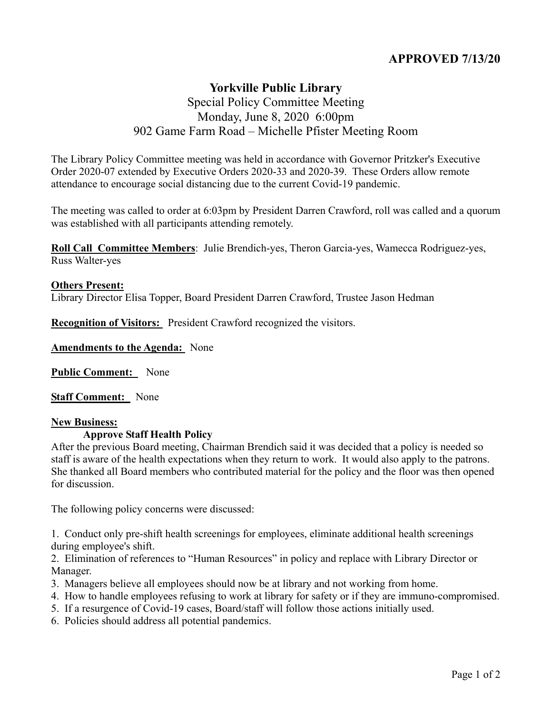# **APPROVED 7/13/20**

## **Yorkville Public Library** Special Policy Committee Meeting Monday, June 8, 2020 6:00pm 902 Game Farm Road – Michelle Pfister Meeting Room

The Library Policy Committee meeting was held in accordance with Governor Pritzker's Executive Order 2020-07 extended by Executive Orders 2020-33 and 2020-39. These Orders allow remote attendance to encourage social distancing due to the current Covid-19 pandemic.

The meeting was called to order at 6:03pm by President Darren Crawford, roll was called and a quorum was established with all participants attending remotely.

**Roll Call Committee Members**: Julie Brendich-yes, Theron Garcia-yes, Wamecca Rodriguez-yes, Russ Walter-yes

### **Others Present:**

Library Director Elisa Topper, Board President Darren Crawford, Trustee Jason Hedman

**Recognition of Visitors:** President Crawford recognized the visitors.

**Amendments to the Agenda:** None

**Public Comment:** None

**Staff Comment:** None

#### **New Business:**

#### **Approve Staff Health Policy**

After the previous Board meeting, Chairman Brendich said it was decided that a policy is needed so staff is aware of the health expectations when they return to work. It would also apply to the patrons. She thanked all Board members who contributed material for the policy and the floor was then opened for discussion.

The following policy concerns were discussed:

1. Conduct only pre-shift health screenings for employees, eliminate additional health screenings during employee's shift.

2. Elimination of references to "Human Resources" in policy and replace with Library Director or Manager.

- 3. Managers believe all employees should now be at library and not working from home.
- 4. How to handle employees refusing to work at library for safety or if they are immuno-compromised.
- 5. If a resurgence of Covid-19 cases, Board/staff will follow those actions initially used.
- 6. Policies should address all potential pandemics.